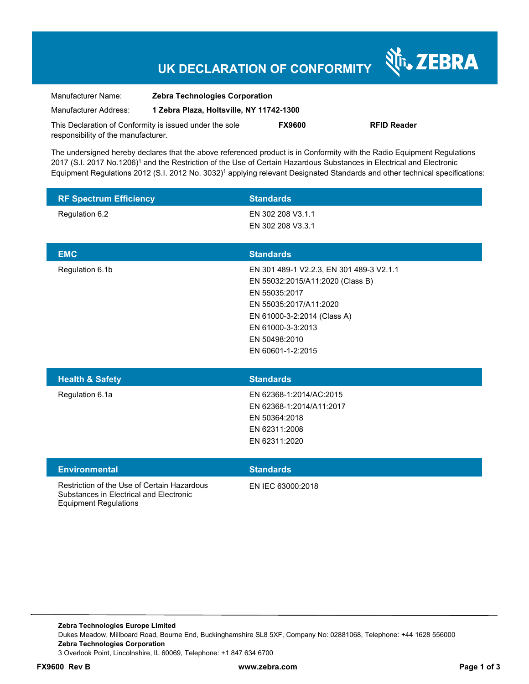### **UK DECLARATION OF CONFORMITY**

Nr. ZEBRA

| Manufacturer Name:                                      | <b>Zebra Technologies Corporation</b><br>1 Zebra Plaza, Holtsville, NY 11742-1300 |               |                    |
|---------------------------------------------------------|-----------------------------------------------------------------------------------|---------------|--------------------|
| Manufacturer Address:                                   |                                                                                   |               |                    |
| This Declaration of Conformity is issued under the sole |                                                                                   | <b>FX9600</b> | <b>RFID Reader</b> |
| responsibility of the manufacturer.                     |                                                                                   |               |                    |

The undersigned hereby declares that the above referenced product is in Conformity with the Radio Equipment Regulations 2017 (S.I. 2017 No.1206)<sup>1</sup> and the Restriction of the Use of Certain Hazardous Substances in Electrical and Electronic Equipment Regulations 2012 (S.I. 2012 No. 3032)<sup>1</sup> applying relevant Designated Standards and other technical specifications:

| <b>RF Spectrum Efficiency</b>                                                          | <b>Standards</b>                                                                                                                                                                                                  |
|----------------------------------------------------------------------------------------|-------------------------------------------------------------------------------------------------------------------------------------------------------------------------------------------------------------------|
| Regulation 6.2                                                                         | EN 302 208 V3.1.1<br>EN 302 208 V3.3.1                                                                                                                                                                            |
|                                                                                        |                                                                                                                                                                                                                   |
| <b>EMC</b>                                                                             | <b>Standards</b>                                                                                                                                                                                                  |
| Regulation 6.1b                                                                        | EN 301 489-1 V2.2.3, EN 301 489-3 V2.1.1<br>EN 55032:2015/A11:2020 (Class B)<br>EN 55035:2017<br>EN 55035:2017/A11:2020<br>EN 61000-3-2:2014 (Class A)<br>EN 61000-3-3:2013<br>EN 50498:2010<br>EN 60601-1-2:2015 |
| <b>Health &amp; Safety</b>                                                             | <b>Standards</b>                                                                                                                                                                                                  |
| Regulation 6.1a                                                                        | EN 62368-1:2014/AC:2015<br>EN 62368-1:2014/A11:2017<br>EN 50364:2018<br>EN 62311:2008<br>EN 62311:2020                                                                                                            |
| <b>Environmental</b>                                                                   | <b>Standards</b>                                                                                                                                                                                                  |
| Restriction of the Use of Certain Hazardous<br>Substances in Electrical and Electronic | EN IEC 63000:2018                                                                                                                                                                                                 |

**Zebra Technologies Europe Limited**  Dukes Meadow, Millboard Road, Bourne End, Buckinghamshire SL8 5XF, Company No: 02881068, Telephone: +44 1628 556000 **Zebra Technologies Corporation**  3 Overlook Point, Lincolnshire, IL 60069, Telephone: +1 847 634 6700

Equipment Regulations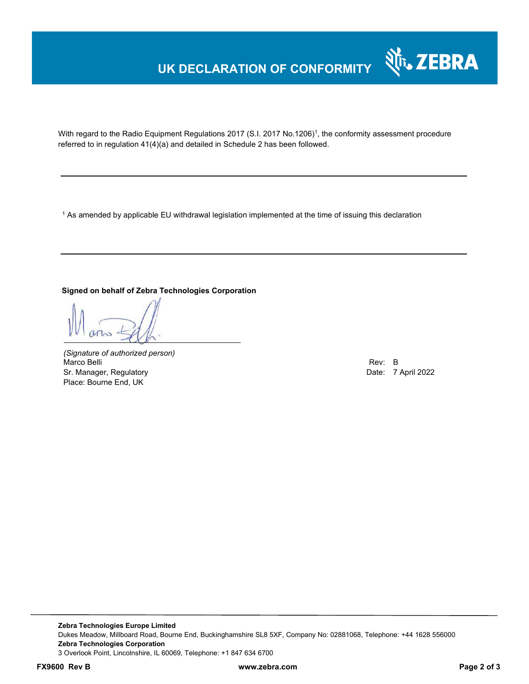# **UK DECLARATION OF CONFORMITY**



With regard to the Radio Equipment Regulations 2017 (S.I. 2017 No.1206)<sup>1</sup>, the conformity assessment procedure referred to in regulation 41(4)(a) and detailed in Schedule 2 has been followed.

 $^{\rm 1}$  As amended by applicable EU withdrawal legislation implemented at the time of issuing this declaration

#### **Signed on behalf of Zebra Technologies Corporation**

*(Signature of authorized person)* Marco Belli Rev: B هات المستوى المستوى المستوى المستوى المستوى المستوى المستوى المستوى المستوى المستوى المستوى المستوى المستوى المستوى المستوى المستوى المستوى المستوى المستوى المستوى المستوى المستوى المستوى المستوى المستوى Sr. Manager, Regulatory **Date: 7 April 2022** Place: Bourne End, UK

**Zebra Technologies Europe Limited**  Dukes Meadow, Millboard Road, Bourne End, Buckinghamshire SL8 5XF, Company No: 02881068, Telephone: +44 1628 556000 **Zebra Technologies Corporation**  3 Overlook Point, Lincolnshire, IL 60069, Telephone: +1 847 634 6700